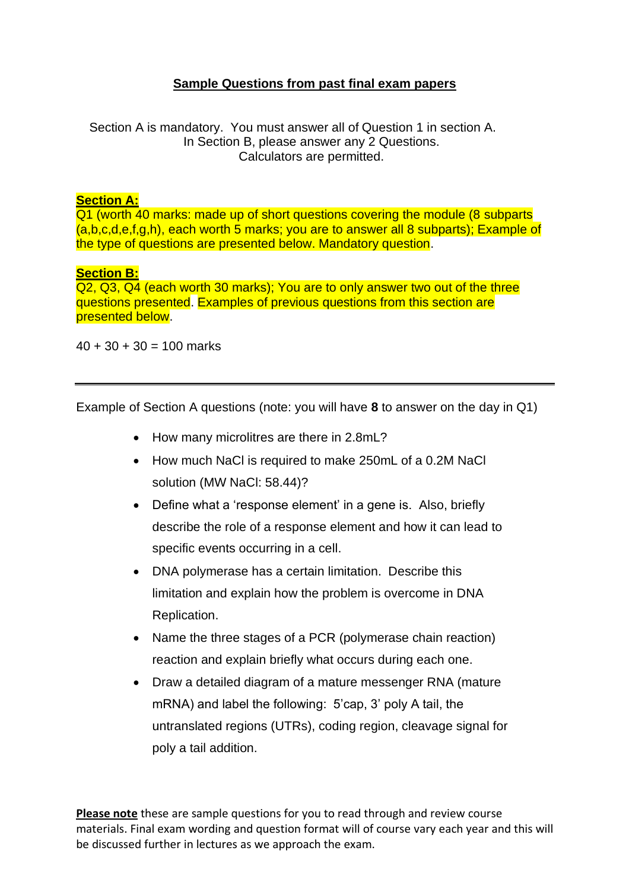## **Sample Questions from past final exam papers**

Section A is mandatory. You must answer all of Question 1 in section A. In Section B, please answer any 2 Questions. Calculators are permitted.

## **Section A:**

Q1 (worth 40 marks: made up of short questions covering the module (8 subparts (a,b,c,d,e,f,g,h), each worth 5 marks; you are to answer all 8 subparts); Example of the type of questions are presented below. Mandatory question.

## **Section B:**

Q2, Q3, Q4 (each worth 30 marks); You are to only answer two out of the three questions presented. Examples of previous questions from this section are presented below.

 $40 + 30 + 30 = 100$  marks

Example of Section A questions (note: you will have **8** to answer on the day in Q1)

- How many microlitres are there in 2.8mL?
- How much NaCl is required to make 250mL of a 0.2M NaCl solution (MW NaCl: 58.44)?
- Define what a 'response element' in a gene is. Also, briefly describe the role of a response element and how it can lead to specific events occurring in a cell.
- DNA polymerase has a certain limitation. Describe this limitation and explain how the problem is overcome in DNA Replication.
- Name the three stages of a PCR (polymerase chain reaction) reaction and explain briefly what occurs during each one.
- Draw a detailed diagram of a mature messenger RNA (mature mRNA) and label the following: 5'cap, 3' poly A tail, the untranslated regions (UTRs), coding region, cleavage signal for poly a tail addition.

**Please note** these are sample questions for you to read through and review course materials. Final exam wording and question format will of course vary each year and this will be discussed further in lectures as we approach the exam.